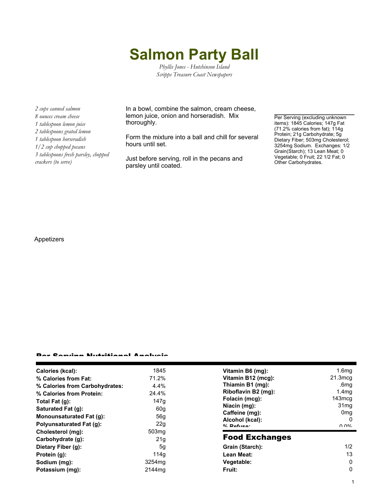## **Salmon Party Ball**

*Phyllis Jones - Hutchinson Island Scripps Treasure Coast Newspapers*

*2 cups canned salmon 8 ounces cream cheese 1 tablespoon lemon juice 2 tablespoons grated lemon 1 tablespoon horseradish 1/2 cup chopped pecans 3 tablespoons fresh parsley, chopped crackers (to serve)*

In a bowl, combine the salmon, cream cheese, lemon juice, onion and horseradish. Mix thoroughly.

Form the mixture into a ball and chill for several hours until set.

Just before serving, roll in the pecans and parsley until coated.

Per Serving (excluding unknown items): 1845 Calories; 147g Fat (71.2% calories from fat); 114g Protein; 21g Carbohydrate; 5g Dietary Fiber; 503mg Cholesterol; 3254mg Sodium. Exchanges: 1/2 Grain(Starch); 13 Lean Meat; 0 Vegetable; 0 Fruit; 22 1/2 Fat; 0 Other Carbohydrates.

## Appetizers

## Per Serving Nutritional Analysis

| Calories (kcal):               | 1845               | Vitamin B6 (mg):                  | 1.6 <sub>mg</sub>    |
|--------------------------------|--------------------|-----------------------------------|----------------------|
| % Calories from Fat:           | 71.2%              | Vitamin B12 (mcg):                | $21.3 \text{mcg}$    |
| % Calories from Carbohydrates: | 4.4%               | Thiamin B1 (mg):                  | .6mg                 |
| % Calories from Protein:       | 24.4%              | Riboflavin B2 (mg):               | 1.4 <sub>mg</sub>    |
| Total Fat (g):                 | 147q               | Folacin (mcg):                    | 143mcg               |
| Saturated Fat (g):             | 60g                | Niacin (mg):                      | 31mg                 |
| Monounsaturated Fat (g):       | 56g                | Caffeine (mg):<br>Alcohol (kcal): | 0 <sub>mg</sub><br>0 |
| Polyunsaturated Fat (g):       | 22g                | $0/2$ Dafuen:                     | በ በ%                 |
| Cholesterol (mg):              | 503 <sub>mq</sub>  |                                   |                      |
| Carbohydrate (g):              | 21 <sub>g</sub>    | <b>Food Exchanges</b>             |                      |
| Dietary Fiber (g):             | 5g                 | Grain (Starch):                   | 1/2                  |
| Protein (g):                   | 114g               | Lean Meat:                        | 13                   |
| Sodium (mg):                   | 3254 <sub>mq</sub> | Vegetable:                        | 0                    |
| Potassium (mg):                | 2144 <sub>mq</sub> | Fruit:                            | 0                    |